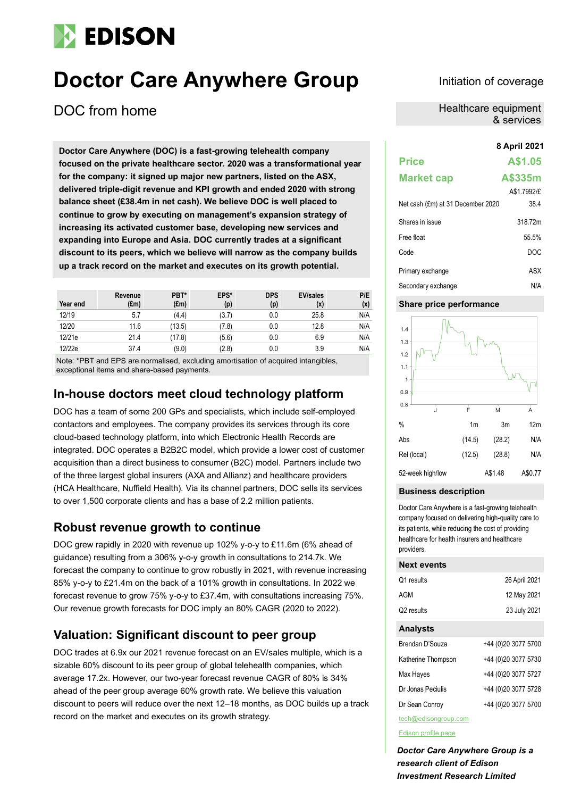# **EDISON**

# **Doctor Care Anywhere Group** Initiation of coverage

DOC from home

**8 April 2021 Doctor Care Anywhere (DOC) is a fast-growing telehealth company focused on the private healthcare sector. 2020 was a transformational year for the company: it signed up major new partners, listed on the ASX, delivered triple-digit revenue and KPI growth and ended 2020 with strong balance sheet (£38.4m in net cash). We believe DOC is well placed to continue to grow by executing on management's expansion strategy of increasing its activated customer base, developing new services and expanding into Europe and Asia. DOC currently trades at a significant discount to its peers, which we believe will narrow as the company builds up a track record on the market and executes on its growth potential.**

| Year end | Revenue<br>$(\text{Em})$ | PBT*<br>(f.m) | EPS*<br>(p) | <b>DPS</b><br>(p) | <b>EV/sales</b><br>(x) | P/E<br>(x) |
|----------|--------------------------|---------------|-------------|-------------------|------------------------|------------|
| 12/19    | 5.7                      | (4.4)         | (3.7)       | 0.0               | 25.8                   | N/A        |
| 12/20    | 11.6                     | (13.5)        | (7.8)       | 0.0               | 12.8                   | N/A        |
| 12/21e   | 21.4                     | (17.8)        | (5.6)       | 0.0               | 6.9                    | N/A        |
| 12/22e   | 37.4                     | (9.0)         | (2.8)       | 0.0               | 3.9                    | N/A        |

Note: \*PBT and EPS are normalised, excluding amortisation of acquired intangibles, exceptional items and share-based payments.

# **In-house doctors meet cloud technology platform**

DOC has a team of some 200 GPs and specialists, which include self-employed contactors and employees. The company provides its services through its core cloud-based technology platform, into which Electronic Health Records are integrated. DOC operates a B2B2C model, which provide a lower cost of customer acquisition than a direct business to consumer (B2C) model. Partners include two of the three largest global insurers (AXA and Allianz) and healthcare providers (HCA Healthcare, Nuffield Health). Via its channel partners, DOC sells its services to over 1,500 corporate clients and has a base of 2.2 million patients.

# **Robust revenue growth to continue**

DOC grew rapidly in 2020 with revenue up 102% y-o-y to £11.6m (6% ahead of guidance) resulting from a 306% y-o-y growth in consultations to 214.7k. We forecast the company to continue to grow robustly in 2021, with revenue increasing 85% y-o-y to £21.4m on the back of a 101% growth in consultations. In 2022 we forecast revenue to grow 75% y-o-y to £37.4m, with consultations increasing 75%. Our revenue growth forecasts for DOC imply an 80% CAGR (2020 to 2022).

# **Valuation: Significant discount to peer group**

DOC trades at 6.9x our 2021 revenue forecast on an EV/sales multiple, which is a sizable 60% discount to its peer group of global telehealth companies, which average 17.2x. However, our two-year forecast revenue CAGR of 80% is 34% ahead of the peer group average 60% growth rate. We believe this valuation discount to peers will reduce over the next 12–18 months, as DOC builds up a track record on the market and executes on its growth strategy.

Healthcare equipment & services

# **Price A\$1.05 Market cap A\$335m** A\$1.7992/£ Net cash (£m) at 31 December 2020 38.4 Shares in issue 318.72m Free float 55.5% Code DOC Primary exchange ASX Secondary exchange N/A

#### **Share price performance**



#### **Business description**

Doctor Care Anywhere is a fast-growing telehealth company focused on delivering high-quality care to its patients, while reducing the cost of providing healthcare for health insurers and healthcare providers.

#### **Next events**

| Q1 results             | 26 April 2021 |
|------------------------|---------------|
| AGM                    | 12 May 2021   |
| Q <sub>2</sub> results | 23 July 2021  |

#### **Analysts**

| Brendan D'Souza    | +44 (0)20 3077 5700 |
|--------------------|---------------------|
| Katherine Thompson | +44 (0)20 3077 5730 |
| Max Hayes          | +44 (0)20 3077 5727 |
| Dr Jonas Peciulis  | +44 (0)20 3077 5728 |
| Dr Sean Conroy     | +44 (0)20 3077 5700 |

tech@edisongroup.com

[Edison profile page](https://www.edisongroup.com/company/Doctor-Care-Anywhere-Group)

*Doctor Care Anywhere Group is a research client of Edison Investment Research Limited*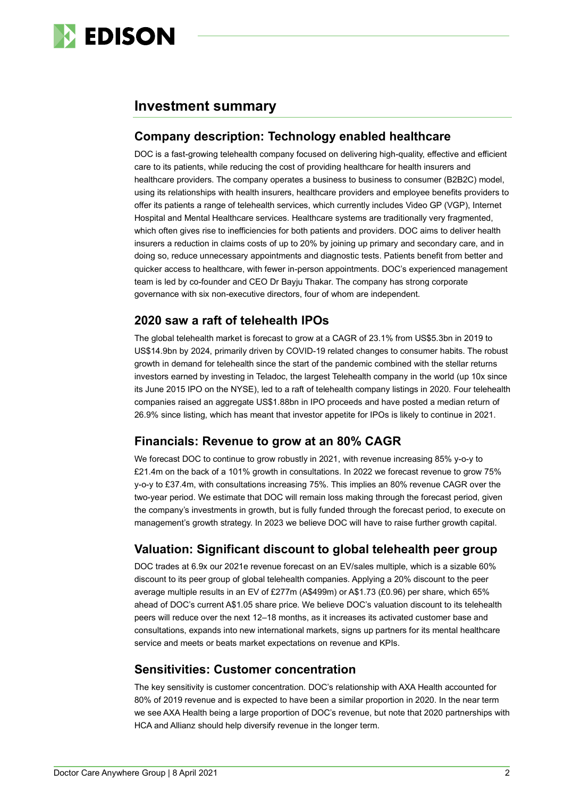

# **Investment summary**

### **Company description: Technology enabled healthcare**

DOC is a fast-growing telehealth company focused on delivering high-quality, effective and efficient care to its patients, while reducing the cost of providing healthcare for health insurers and healthcare providers. The company operates a business to business to consumer (B2B2C) model, using its relationships with health insurers, healthcare providers and employee benefits providers to offer its patients a range of telehealth services, which currently includes Video GP (VGP), Internet Hospital and Mental Healthcare services. Healthcare systems are traditionally very fragmented, which often gives rise to inefficiencies for both patients and providers. DOC aims to deliver health insurers a reduction in claims costs of up to 20% by joining up primary and secondary care, and in doing so, reduce unnecessary appointments and diagnostic tests. Patients benefit from better and quicker access to healthcare, with fewer in-person appointments. DOC's experienced management team is led by co-founder and CEO Dr Bayju Thakar. The company has strong corporate governance with six non-executive directors, four of whom are independent.

### **2020 saw a raft of telehealth IPOs**

The global telehealth market is forecast to grow at a CAGR of 23.1% from US\$5.3bn in 2019 to US\$14.9bn by 2024, primarily driven by COVID-19 related changes to consumer habits. The robust growth in demand for telehealth since the start of the pandemic combined with the stellar returns investors earned by investing in Teladoc, the largest Telehealth company in the world (up 10x since its June 2015 IPO on the NYSE), led to a raft of telehealth company listings in 2020. Four telehealth companies raised an aggregate US\$1.88bn in IPO proceeds and have posted a median return of 26.9% since listing, which has meant that investor appetite for IPOs is likely to continue in 2021.

# **Financials: Revenue to grow at an 80% CAGR**

We forecast DOC to continue to grow robustly in 2021, with revenue increasing 85% y-o-y to £21.4m on the back of a 101% growth in consultations. In 2022 we forecast revenue to grow 75% y-o-y to £37.4m, with consultations increasing 75%. This implies an 80% revenue CAGR over the two-year period. We estimate that DOC will remain loss making through the forecast period, given the company's investments in growth, but is fully funded through the forecast period, to execute on management's growth strategy. In 2023 we believe DOC will have to raise further growth capital.

# **Valuation: Significant discount to global telehealth peer group**

DOC trades at 6.9x our 2021e revenue forecast on an EV/sales multiple, which is a sizable 60% discount to its peer group of global telehealth companies. Applying a 20% discount to the peer average multiple results in an EV of £277m (A\$499m) or A\$1.73 (£0.96) per share, which 65% ahead of DOC's current A\$1.05 share price. We believe DOC's valuation discount to its telehealth peers will reduce over the next 12–18 months, as it increases its activated customer base and consultations, expands into new international markets, signs up partners for its mental healthcare service and meets or beats market expectations on revenue and KPIs.

#### **Sensitivities: Customer concentration**

The key sensitivity is customer concentration. DOC's relationship with AXA Health accounted for 80% of 2019 revenue and is expected to have been a similar proportion in 2020. In the near term we see AXA Health being a large proportion of DOC's revenue, but note that 2020 partnerships with HCA and Allianz should help diversify revenue in the longer term.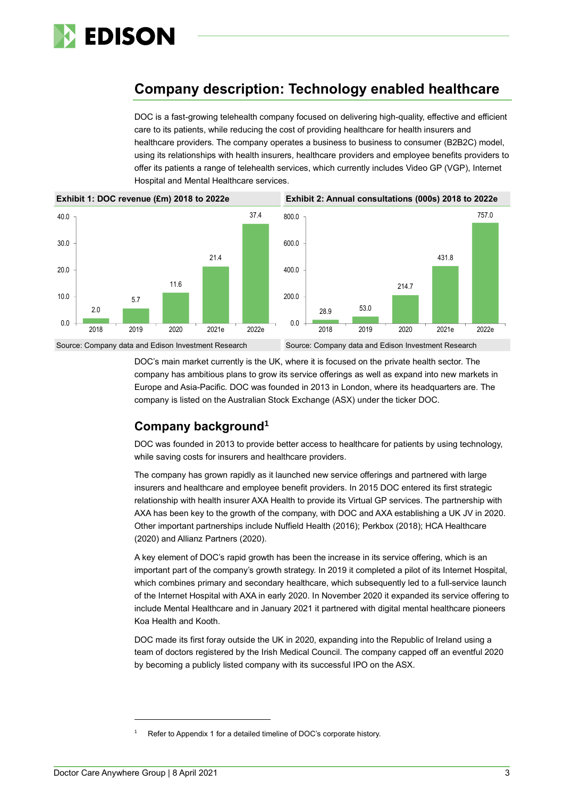

# **Company description: Technology enabled healthcare**

DOC is a fast-growing telehealth company focused on delivering high-quality, effective and efficient care to its patients, while reducing the cost of providing healthcare for health insurers and healthcare providers. The company operates a business to business to consumer (B2B2C) model, using its relationships with health insurers, healthcare providers and employee benefits providers to offer its patients a range of telehealth services, which currently includes Video GP (VGP), Internet Hospital and Mental Healthcare services.



DOC's main market currently is the UK, where it is focused on the private health sector. The company has ambitious plans to grow its service offerings as well as expand into new markets in Europe and Asia-Pacific. DOC was founded in 2013 in London, where its headquarters are. The company is listed on the Australian Stock Exchange (ASX) under the ticker DOC.

# **Company background<sup>1</sup>**

DOC was founded in 2013 to provide better access to healthcare for patients by using technology, while saving costs for insurers and healthcare providers.

The company has grown rapidly as it launched new service offerings and partnered with large insurers and healthcare and employee benefit providers. In 2015 DOC entered its first strategic relationship with health insurer AXA Health to provide its Virtual GP services. The partnership with AXA has been key to the growth of the company, with DOC and AXA establishing a UK JV in 2020. Other important partnerships include Nuffield Health (2016); Perkbox (2018); HCA Healthcare (2020) and Allianz Partners (2020).

A key element of DOC's rapid growth has been the increase in its service offering, which is an important part of the company's growth strategy. In 2019 it completed a pilot of its Internet Hospital, which combines primary and secondary healthcare, which subsequently led to a full-service launch of the Internet Hospital with AXA in early 2020. In November 2020 it expanded its service offering to include Mental Healthcare and in January 2021 it partnered with digital mental healthcare pioneers Koa Health and Kooth.

DOC made its first foray outside the UK in 2020, expanding into the Republic of Ireland using a team of doctors registered by the Irish Medical Council. The company capped off an eventful 2020 by becoming a publicly listed company with its successful IPO on the ASX.

Refer to Appendix 1 for a detailed timeline of DOC's corporate history.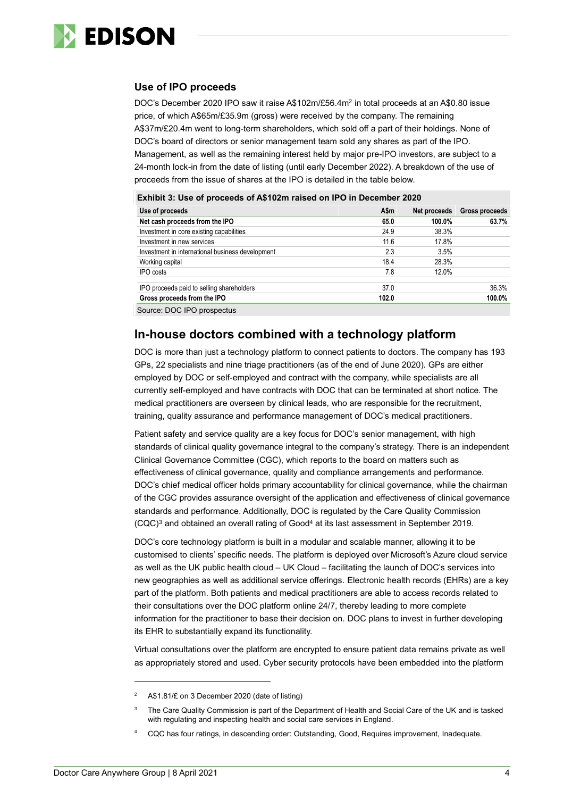

#### **Use of IPO proceeds**

DOC's December 2020 IPO saw it raise A\$102m/£56.4m<sup>2</sup> in total proceeds at an A\$0.80 issue price, of which A\$65m/£35.9m (gross) were received by the company. The remaining A\$37m/£20.4m went to long-term shareholders, which sold off a part of their holdings. None of DOC's board of directors or senior management team sold any shares as part of the IPO.

Management, as well as the remaining interest held by major pre-IPO investors, are subject to a 24-month lock-in from the date of listing (until early December 2022). A breakdown of the use of proceeds from the issue of shares at the IPO is detailed in the table below.

| Use of proceeds                                  | A\$m  | Net proceeds | Gross proceeds |
|--------------------------------------------------|-------|--------------|----------------|
| Net cash proceeds from the IPO                   | 65.0  | 100.0%       | 63.7%          |
| Investment in core existing capabilities         | 24.9  | 38.3%        |                |
| Investment in new services                       | 11.6  | 17.8%        |                |
| Investment in international business development | 2.3   | 3.5%         |                |
| Working capital                                  | 18.4  | 28.3%        |                |
| IPO costs                                        | 7.8   | 12.0%        |                |
| IPO proceeds paid to selling shareholders        | 37.0  |              | 36.3%          |
| Gross proceeds from the IPO                      | 102.0 |              | 100.0%         |
| Source: DOC IPO prospectus                       |       |              |                |

**Exhibit 3: Use of proceeds of A\$102m raised on IPO in December 2020**

#### **In-house doctors combined with a technology platform**

DOC is more than just a technology platform to connect patients to doctors. The company has 193 GPs, 22 specialists and nine triage practitioners (as of the end of June 2020). GPs are either employed by DOC or self-employed and contract with the company, while specialists are all currently self-employed and have contracts with DOC that can be terminated at short notice. The medical practitioners are overseen by clinical leads, who are responsible for the recruitment, training, quality assurance and performance management of DOC's medical practitioners.

Patient safety and service quality are a key focus for DOC's senior management, with high standards of clinical quality governance integral to the company's strategy. There is an independent Clinical Governance Committee (CGC), which reports to the board on matters such as effectiveness of clinical governance, quality and compliance arrangements and performance. DOC's chief medical officer holds primary accountability for clinical governance, while the chairman of the CGC provides assurance oversight of the application and effectiveness of clinical governance standards and performance. Additionally, DOC is regulated by the Care Quality Commission (CQC)<sup>3</sup> and obtained an overall rating of Good<sup>4</sup> at its last assessment in September 2019.

DOC's core technology platform is built in a modular and scalable manner, allowing it to be customised to clients' specific needs. The platform is deployed over Microsoft's Azure cloud service as well as the UK public health cloud – UK Cloud – facilitating the launch of DOC's services into new geographies as well as additional service offerings. Electronic health records (EHRs) are a key part of the platform. Both patients and medical practitioners are able to access records related to their consultations over the DOC platform online 24/7, thereby leading to more complete information for the practitioner to base their decision on. DOC plans to invest in further developing its EHR to substantially expand its functionality.

Virtual consultations over the platform are encrypted to ensure patient data remains private as well as appropriately stored and used. Cyber security protocols have been embedded into the platform

A\$1.81/£ on 3 December 2020 (date of listing)

<sup>&</sup>lt;sup>3</sup> The Care Quality Commission is part of the Department of Health and Social Care of the UK and is tasked with regulating and inspecting health and social care services in England.

<sup>4</sup> CQC has four ratings, in descending order: Outstanding, Good, Requires improvement, Inadequate.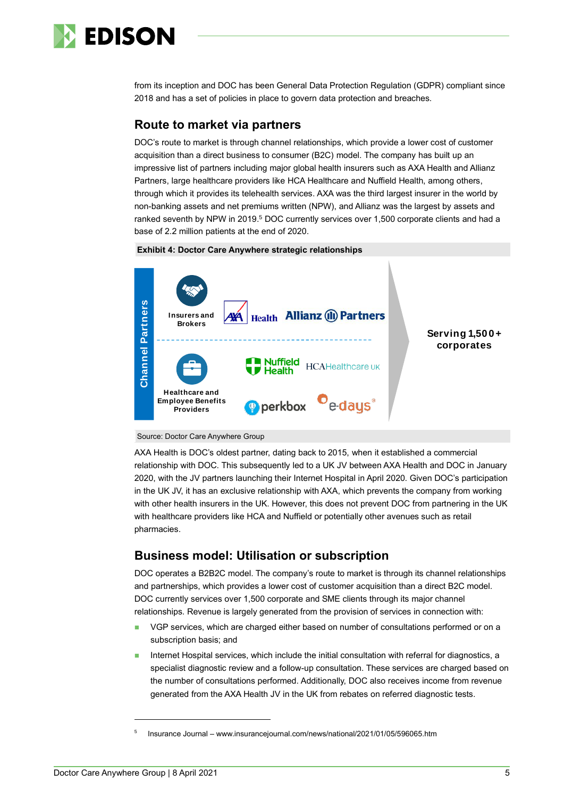

from its inception and DOC has been General Data Protection Regulation (GDPR) compliant since 2018 and has a set of policies in place to govern data protection and breaches.

#### **Route to market via partners**

DOC's route to market is through channel relationships, which provide a lower cost of customer acquisition than a direct business to consumer (B2C) model. The company has built up an impressive list of partners including major global health insurers such as AXA Health and Allianz Partners, large healthcare providers like HCA Healthcare and Nuffield Health, among others, through which it provides its telehealth services. AXA was the third largest insurer in the world by non-banking assets and net premiums written (NPW), and Allianz was the largest by assets and ranked seventh by NPW in 2019.<sup>5</sup> DOC currently services over 1,500 corporate clients and had a base of 2.2 million patients at the end of 2020.







AXA Health is DOC's oldest partner, dating back to 2015, when it established a commercial relationship with DOC. This subsequently led to a UK JV between AXA Health and DOC in January 2020, with the JV partners launching their Internet Hospital in April 2020. Given DOC's participation in the UK JV, it has an exclusive relationship with AXA, which prevents the company from working with other health insurers in the UK. However, this does not prevent DOC from partnering in the UK with healthcare providers like HCA and Nuffield or potentially other avenues such as retail pharmacies.

#### **Business model: Utilisation or subscription**

DOC operates a B2B2C model. The company's route to market is through its channel relationships and partnerships, which provides a lower cost of customer acquisition than a direct B2C model. DOC currently services over 1,500 corporate and SME clients through its major channel relationships. Revenue is largely generated from the provision of services in connection with:

- VGP services, which are charged either based on number of consultations performed or on a subscription basis; and
- Internet Hospital services, which include the initial consultation with referral for diagnostics, a specialist diagnostic review and a follow-up consultation. These services are charged based on the number of consultations performed. Additionally, DOC also receives income from revenue generated from the AXA Health JV in the UK from rebates on referred diagnostic tests.

<sup>5</sup> Insurance Journal – www.insurancejournal.com/news/national/2021/01/05/596065.htm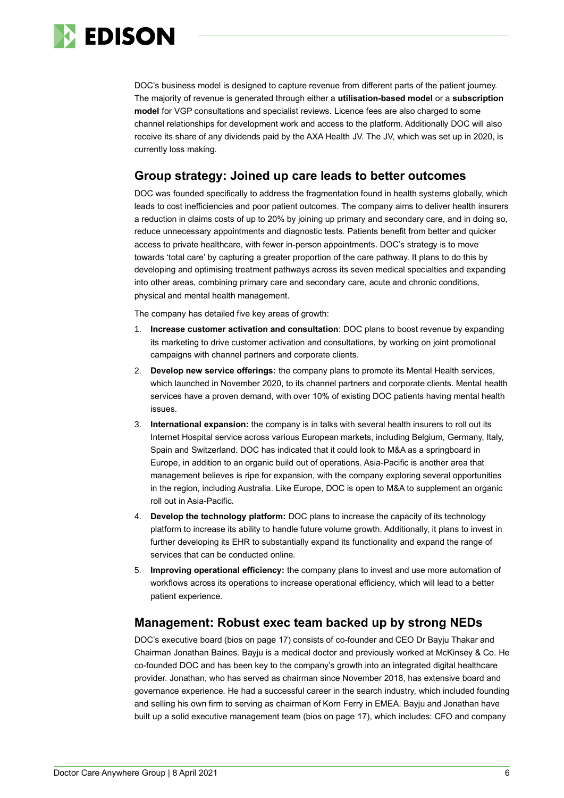

DOC's business model is designed to capture revenue from different parts of the patient journey. The majority of revenue is generated through either a **utilisation-based model** or a **subscription model** for VGP consultations and specialist reviews. Licence fees are also charged to some channel relationships for development work and access to the platform. Additionally DOC will also receive its share of any dividends paid by the AXA Health JV. The JV, which was set up in 2020, is currently loss making.

#### **Group strategy: Joined up care leads to better outcomes**

DOC was founded specifically to address the fragmentation found in health systems globally, which leads to cost inefficiencies and poor patient outcomes. The company aims to deliver health insurers a reduction in claims costs of up to 20% by joining up primary and secondary care, and in doing so, reduce unnecessary appointments and diagnostic tests. Patients benefit from better and quicker access to private healthcare, with fewer in-person appointments. DOC's strategy is to move towards 'total care' by capturing a greater proportion of the care pathway. It plans to do this by developing and optimising treatment pathways across its seven medical specialties and expanding into other areas, combining primary care and secondary care, acute and chronic conditions, physical and mental health management.

The company has detailed five key areas of growth:

- 1. **Increase customer activation and consultation**: DOC plans to boost revenue by expanding its marketing to drive customer activation and consultations, by working on joint promotional campaigns with channel partners and corporate clients.
- 2. **Develop new service offerings:** the company plans to promote its Mental Health services, which launched in November 2020, to its channel partners and corporate clients. Mental health services have a proven demand, with over 10% of existing DOC patients having mental health issues.
- 3. **International expansion:** the company is in talks with several health insurers to roll out its Internet Hospital service across various European markets, including Belgium, Germany, Italy, Spain and Switzerland. DOC has indicated that it could look to M&A as a springboard in Europe, in addition to an organic build out of operations. Asia-Pacific is another area that management believes is ripe for expansion, with the company exploring several opportunities in the region, including Australia. Like Europe, DOC is open to M&A to supplement an organic roll out in Asia-Pacific.
- 4. **Develop the technology platform:** DOC plans to increase the capacity of its technology platform to increase its ability to handle future volume growth. Additionally, it plans to invest in further developing its EHR to substantially expand its functionality and expand the range of services that can be conducted online.
- 5. **Improving operational efficiency:** the company plans to invest and use more automation of workflows across its operations to increase operational efficiency, which will lead to a better patient experience.

#### **Management: Robust exec team backed up by strong NEDs**

DOC's executive board (bios on page 17) consists of co-founder and CEO Dr Bayju Thakar and Chairman Jonathan Baines. Bayju is a medical doctor and previously worked at McKinsey & Co. He co-founded DOC and has been key to the company's growth into an integrated digital healthcare provider. Jonathan, who has served as chairman since November 2018, has extensive board and governance experience. He had a successful career in the search industry, which included founding and selling his own firm to serving as chairman of Korn Ferry in EMEA. Bayju and Jonathan have built up a solid executive management team (bios on page 17), which includes: CFO and company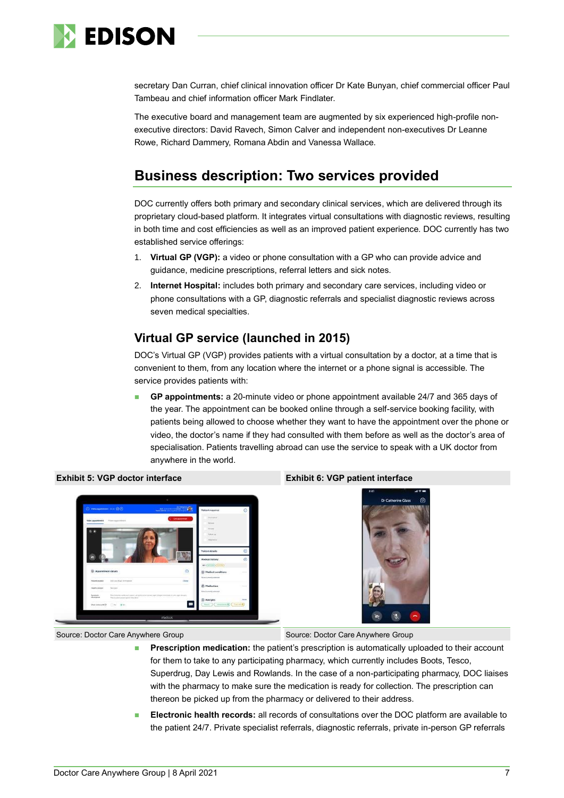

secretary Dan Curran, chief clinical innovation officer Dr Kate Bunyan, chief commercial officer Paul Tambeau and chief information officer Mark Findlater.

The executive board and management team are augmented by six experienced high-profile nonexecutive directors: David Ravech, Simon Calver and independent non-executives Dr Leanne Rowe, Richard Dammery, Romana Abdin and Vanessa Wallace.

# **Business description: Two services provided**

DOC currently offers both primary and secondary clinical services, which are delivered through its proprietary cloud-based platform. It integrates virtual consultations with diagnostic reviews, resulting in both time and cost efficiencies as well as an improved patient experience. DOC currently has two established service offerings:

- 1. **Virtual GP (VGP):** a video or phone consultation with a GP who can provide advice and guidance, medicine prescriptions, referral letters and sick notes.
- 2. **Internet Hospital:** includes both primary and secondary care services, including video or phone consultations with a GP, diagnostic referrals and specialist diagnostic reviews across seven medical specialties.

# **Virtual GP service (launched in 2015)**

DOC's Virtual GP (VGP) provides patients with a virtual consultation by a doctor, at a time that is convenient to them, from any location where the internet or a phone signal is accessible. The service provides patients with:

◼ **GP appointments:** a 20-minute video or phone appointment available 24/7 and 365 days of the year. The appointment can be booked online through a self-service booking facility, with patients being allowed to choose whether they want to have the appointment over the phone or video, the doctor's name if they had consulted with them before as well as the doctor's area of specialisation. Patients travelling abroad can use the service to speak with a UK doctor from anywhere in the world.



#### **Exhibit 5: VGP doctor interface Exhibit 6: VGP patient interface**



Source: Doctor Care Anywhere Group Source: Doctor Care Anywhere Group

- **Prescription medication:** the patient's prescription is automatically uploaded to their account for them to take to any participating pharmacy, which currently includes Boots, Tesco, Superdrug, Day Lewis and Rowlands. In the case of a non-participating pharmacy, DOC liaises with the pharmacy to make sure the medication is ready for collection. The prescription can thereon be picked up from the pharmacy or delivered to their address.
- ◼ **Electronic health records:** all records of consultations over the DOC platform are available to the patient 24/7. Private specialist referrals, diagnostic referrals, private in-person GP referrals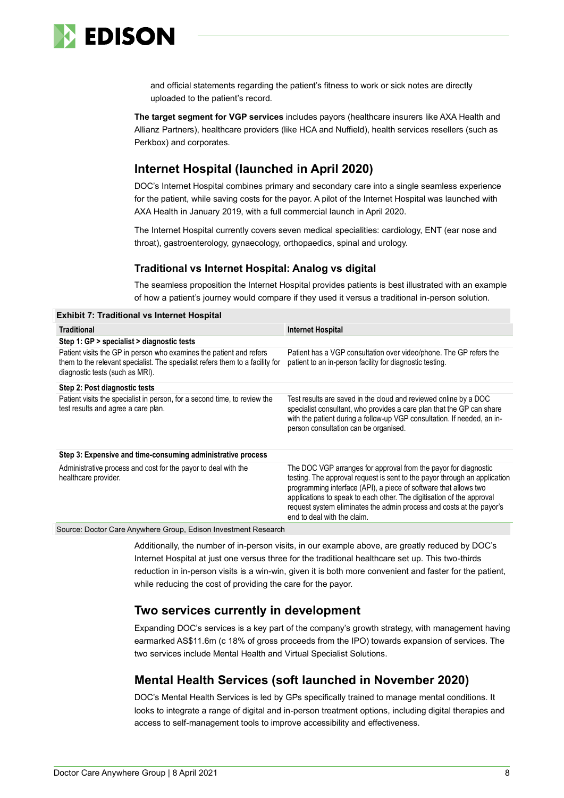

and official statements regarding the patient's fitness to work or sick notes are directly uploaded to the patient's record.

**The target segment for VGP services** includes payors (healthcare insurers like AXA Health and Allianz Partners), healthcare providers (like HCA and Nuffield), health services resellers (such as Perkbox) and corporates.

### **Internet Hospital (launched in April 2020)**

DOC's Internet Hospital combines primary and secondary care into a single seamless experience for the patient, while saving costs for the payor. A pilot of the Internet Hospital was launched with AXA Health in January 2019, with a full commercial launch in April 2020.

The Internet Hospital currently covers seven medical specialities: cardiology, ENT (ear nose and throat), gastroenterology, gynaecology, orthopaedics, spinal and urology.

#### **Traditional vs Internet Hospital: Analog vs digital**

The seamless proposition the Internet Hospital provides patients is best illustrated with an example of how a patient's journey would compare if they used it versus a traditional in-person solution.

**Exhibit 7: Traditional vs Internet Hospital**

| <b>Traditional</b>                                                                                                                                                                      | <b>Internet Hospital</b>                                                                                                                                                                                                                                                                                                                                                                         |
|-----------------------------------------------------------------------------------------------------------------------------------------------------------------------------------------|--------------------------------------------------------------------------------------------------------------------------------------------------------------------------------------------------------------------------------------------------------------------------------------------------------------------------------------------------------------------------------------------------|
| Step 1: GP > specialist > diagnostic tests                                                                                                                                              |                                                                                                                                                                                                                                                                                                                                                                                                  |
| Patient visits the GP in person who examines the patient and refers<br>them to the relevant specialist. The specialist refers them to a facility for<br>diagnostic tests (such as MRI). | Patient has a VGP consultation over video/phone. The GP refers the<br>patient to an in-person facility for diagnostic testing.                                                                                                                                                                                                                                                                   |
| Step 2: Post diagnostic tests                                                                                                                                                           |                                                                                                                                                                                                                                                                                                                                                                                                  |
| Patient visits the specialist in person, for a second time, to review the<br>test results and agree a care plan.                                                                        | Test results are saved in the cloud and reviewed online by a DOC<br>specialist consultant, who provides a care plan that the GP can share<br>with the patient during a follow-up VGP consultation. If needed, an in-<br>person consultation can be organised.                                                                                                                                    |
| Step 3: Expensive and time-consuming administrative process                                                                                                                             |                                                                                                                                                                                                                                                                                                                                                                                                  |
| Administrative process and cost for the payor to deal with the<br>healthcare provider.                                                                                                  | The DOC VGP arranges for approval from the payor for diagnostic<br>testing. The approval request is sent to the payor through an application<br>programming interface (API), a piece of software that allows two<br>applications to speak to each other. The digitisation of the approval<br>request system eliminates the admin process and costs at the payor's<br>end to deal with the claim. |
| Source: Doctor Care Anywhere Group, Edison Investment Research                                                                                                                          |                                                                                                                                                                                                                                                                                                                                                                                                  |

Additionally, the number of in-person visits, in our example above, are greatly reduced by DOC's Internet Hospital at just one versus three for the traditional healthcare set up. This two-thirds reduction in in-person visits is a win-win, given it is both more convenient and faster for the patient, while reducing the cost of providing the care for the payor.

#### **Two services currently in development**

Expanding DOC's services is a key part of the company's growth strategy, with management having earmarked AS\$11.6m (c 18% of gross proceeds from the IPO) towards expansion of services. The two services include Mental Health and Virtual Specialist Solutions.

# **Mental Health Services (soft launched in November 2020)**

DOC's Mental Health Services is led by GPs specifically trained to manage mental conditions. It looks to integrate a range of digital and in-person treatment options, including digital therapies and access to self-management tools to improve accessibility and effectiveness.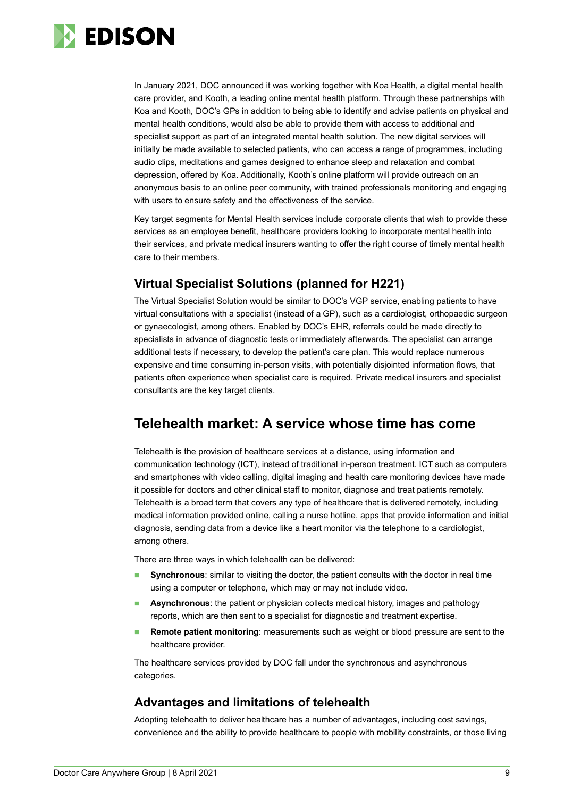

In January 2021, DOC announced it was working together with Koa Health, a digital mental health care provider, and Kooth, a leading online mental health platform. Through these partnerships with Koa and Kooth, DOC's GPs in addition to being able to identify and advise patients on physical and mental health conditions, would also be able to provide them with access to additional and specialist support as part of an integrated mental health solution. The new digital services will initially be made available to selected patients, who can access a range of programmes, including audio clips, meditations and games designed to enhance sleep and relaxation and combat depression, offered by Koa. Additionally, Kooth's online platform will provide outreach on an anonymous basis to an online peer community, with trained professionals monitoring and engaging with users to ensure safety and the effectiveness of the service.

Key target segments for Mental Health services include corporate clients that wish to provide these services as an employee benefit, healthcare providers looking to incorporate mental health into their services, and private medical insurers wanting to offer the right course of timely mental health care to their members.

# **Virtual Specialist Solutions (planned for H221)**

The Virtual Specialist Solution would be similar to DOC's VGP service, enabling patients to have virtual consultations with a specialist (instead of a GP), such as a cardiologist, orthopaedic surgeon or gynaecologist, among others. Enabled by DOC's EHR, referrals could be made directly to specialists in advance of diagnostic tests or immediately afterwards. The specialist can arrange additional tests if necessary, to develop the patient's care plan. This would replace numerous expensive and time consuming in-person visits, with potentially disjointed information flows, that patients often experience when specialist care is required. Private medical insurers and specialist consultants are the key target clients.

# **Telehealth market: A service whose time has come**

Telehealth is the provision of healthcare services at a distance, using information and communication technology (ICT), instead of traditional in-person treatment. ICT such as computers and smartphones with video calling, digital imaging and health care monitoring devices have made it possible for doctors and other clinical staff to monitor, diagnose and treat patients remotely. Telehealth is a broad term that covers any type of healthcare that is delivered remotely, including medical information provided online, calling a nurse hotline, apps that provide information and initial diagnosis, sending data from a device like a heart monitor via the telephone to a cardiologist, among others.

There are three ways in which telehealth can be delivered:

- **Synchronous**: similar to visiting the doctor, the patient consults with the doctor in real time using a computer or telephone, which may or may not include video.
- **Asynchronous**: the patient or physician collects medical history, images and pathology reports, which are then sent to a specialist for diagnostic and treatment expertise.
- **Remote patient monitoring**: measurements such as weight or blood pressure are sent to the healthcare provider.

The healthcare services provided by DOC fall under the synchronous and asynchronous categories.

#### **Advantages and limitations of telehealth**

Adopting telehealth to deliver healthcare has a number of advantages, including cost savings, convenience and the ability to provide healthcare to people with mobility constraints, or those living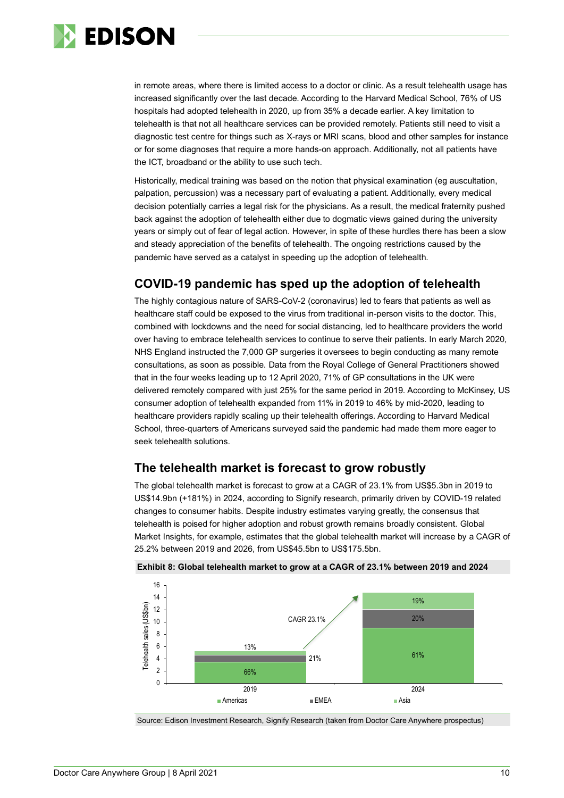

in remote areas, where there is limited access to a doctor or clinic. As a result telehealth usage has increased significantly over the last decade. According to the Harvard Medical School, 76% of US hospitals had adopted telehealth in 2020, up from 35% a decade earlier. A key limitation to telehealth is that not all healthcare services can be provided remotely. Patients still need to visit a diagnostic test centre for things such as X-rays or MRI scans, blood and other samples for instance or for some diagnoses that require a more hands-on approach. Additionally, not all patients have the ICT, broadband or the ability to use such tech.

Historically, medical training was based on the notion that physical examination (eg auscultation, palpation, percussion) was a necessary part of evaluating a patient. Additionally, every medical decision potentially carries a legal risk for the physicians. As a result, the medical fraternity pushed back against the adoption of telehealth either due to dogmatic views gained during the university years or simply out of fear of legal action. However, in spite of these hurdles there has been a slow and steady appreciation of the benefits of telehealth. The ongoing restrictions caused by the pandemic have served as a catalyst in speeding up the adoption of telehealth.

### **COVID-19 pandemic has sped up the adoption of telehealth**

The highly contagious nature of SARS-CoV-2 (coronavirus) led to fears that patients as well as healthcare staff could be exposed to the virus from traditional in-person visits to the doctor. This, combined with lockdowns and the need for social distancing, led to healthcare providers the world over having to embrace telehealth services to continue to serve their patients. In early March 2020, NHS England instructed the 7,000 GP surgeries it oversees to begin conducting as many remote consultations, as soon as possible. Data from the Royal College of General Practitioners showed that in the four weeks leading up to 12 April 2020, 71% of GP consultations in the UK were delivered remotely compared with just 25% for the same period in 2019. According to McKinsey, US consumer adoption of telehealth expanded from 11% in 2019 to 46% by mid-2020, leading to healthcare providers rapidly scaling up their telehealth offerings. According to Harvard Medical School, three-quarters of Americans surveyed said the pandemic had made them more eager to seek telehealth solutions.

#### **The telehealth market is forecast to grow robustly**

The global telehealth market is forecast to grow at a CAGR of 23.1% from US\$5.3bn in 2019 to US\$14.9bn (+181%) in 2024, according to Signify research, primarily driven by COVID-19 related changes to consumer habits. Despite industry estimates varying greatly, the consensus that telehealth is poised for higher adoption and robust growth remains broadly consistent. Global Market Insights, for example, estimates that the global telehealth market will increase by a CAGR of 25.2% between 2019 and 2026, from US\$45.5bn to US\$175.5bn.



#### **Exhibit 8: Global telehealth market to grow at a CAGR of 23.1% between 2019 and 2024**

Source: Edison Investment Research, Signify Research (taken from Doctor Care Anywhere prospectus)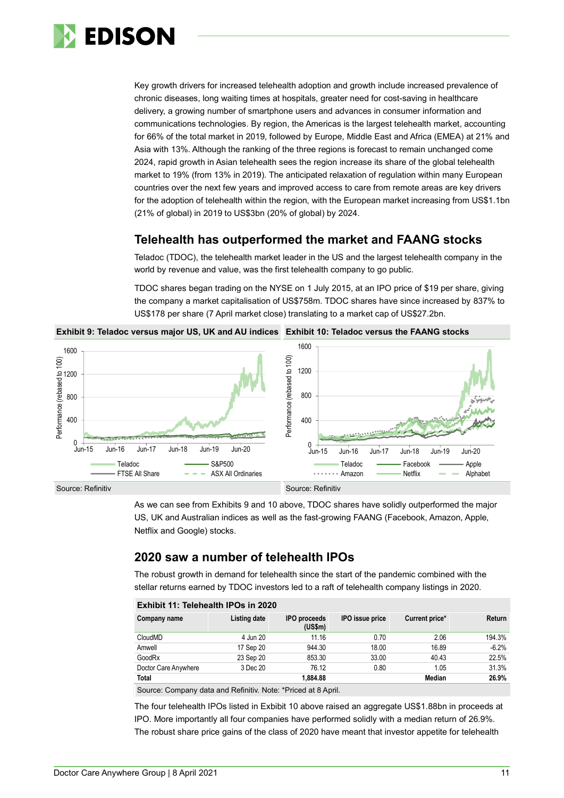

Key growth drivers for increased telehealth adoption and growth include increased prevalence of chronic diseases, long waiting times at hospitals, greater need for cost-saving in healthcare delivery, a growing number of smartphone users and advances in consumer information and communications technologies. By region, the Americas is the largest telehealth market, accounting for 66% of the total market in 2019, followed by Europe, Middle East and Africa (EMEA) at 21% and Asia with 13%. Although the ranking of the three regions is forecast to remain unchanged come 2024, rapid growth in Asian telehealth sees the region increase its share of the global telehealth market to 19% (from 13% in 2019). The anticipated relaxation of regulation within many European countries over the next few years and improved access to care from remote areas are key drivers for the adoption of telehealth within the region, with the European market increasing from US\$1.1bn (21% of global) in 2019 to US\$3bn (20% of global) by 2024.

### **Telehealth has outperformed the market and FAANG stocks**

Teladoc (TDOC), the telehealth market leader in the US and the largest telehealth company in the world by revenue and value, was the first telehealth company to go public.

TDOC shares began trading on the NYSE on 1 July 2015, at an IPO price of \$19 per share, giving the company a market capitalisation of US\$758m. TDOC shares have since increased by 837% to US\$178 per share (7 April market close) translating to a market cap of US\$27.2bn.

**Exhibit 9: Teladoc versus major US, UK and AU indices Exhibit 10: Teladoc versus the FAANG stocks**



As we can see from Exhibits 9 and 10 above, TDOC shares have solidly outperformed the major US, UK and Australian indices as well as the fast-growing FAANG (Facebook, Amazon, Apple, Netflix and Google) stocks.

#### **2020 saw a number of telehealth IPOs**

The robust growth in demand for telehealth since the start of the pandemic combined with the stellar returns earned by TDOC investors led to a raft of telehealth company listings in 2020.

| <b>IPO</b> issue price<br>Listing date<br><b>IPO</b> proceeds<br>Current price*<br>Return<br>Company name<br>(US\$m)<br>194.3%<br>11.16<br>2.06<br>CloudMD<br>4 Jun 20<br>0.70<br>$-6.2%$<br>944.30<br>18.00<br>16.89<br>17 Sep 20<br>Amwell | Exhibit 11: Telehealth IPOS in 2020 |           |        |       |       |       |
|----------------------------------------------------------------------------------------------------------------------------------------------------------------------------------------------------------------------------------------------|-------------------------------------|-----------|--------|-------|-------|-------|
|                                                                                                                                                                                                                                              |                                     |           |        |       |       |       |
|                                                                                                                                                                                                                                              |                                     |           |        |       |       |       |
|                                                                                                                                                                                                                                              |                                     |           |        |       |       |       |
|                                                                                                                                                                                                                                              | GoodRx                              | 23 Sep 20 | 853.30 | 33.00 | 40.43 | 22.5% |
| 31.3%<br>76.12<br>Doctor Care Anywhere<br>3 Dec 20<br>0.80<br>1.05                                                                                                                                                                           |                                     |           |        |       |       |       |
| 26.9%<br><b>Total</b><br>Median<br>1.884.88                                                                                                                                                                                                  |                                     |           |        |       |       |       |

**Exhibit 11: Telehealth IPOs in 2020**

Source: Company data and Refinitiv. Note: \*Priced at 8 April.

The four telehealth IPOs listed in Exbibit 10 above raised an aggregate US\$1.88bn in proceeds at IPO. More importantly all four companies have performed solidly with a median return of 26.9%. The robust share price gains of the class of 2020 have meant that investor appetite for telehealth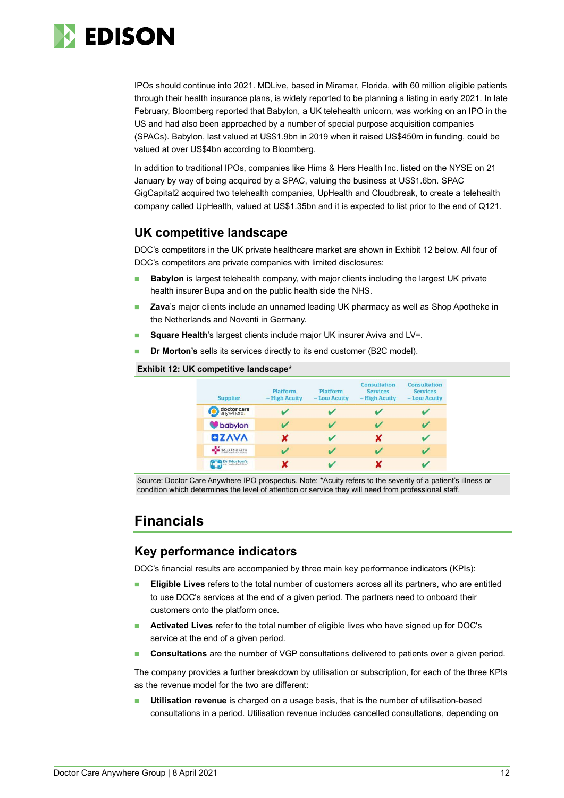

IPOs should continue into 2021. MDLive, based in Miramar, Florida, with 60 million eligible patients through their health insurance plans, is widely reported to be planning a listing in early 2021. In late February, Bloomberg reported that Babylon, a UK telehealth unicorn, was working on an IPO in the US and had also been approached by a number of special purpose acquisition companies (SPACs). Babylon, last valued at US\$1.9bn in 2019 when it raised US\$450m in funding, could be valued at over US\$4bn according to Bloomberg.

In addition to traditional IPOs, companies like Hims & Hers Health Inc. listed on the NYSE on 21 January by way of being acquired by a SPAC, valuing the business at US\$1.6bn. SPAC GigCapital2 acquired two telehealth companies, UpHealth and Cloudbreak, to create a telehealth company called UpHealth, valued at US\$1.35bn and it is expected to list prior to the end of Q121.

### **UK competitive landscape**

DOC's competitors in the UK private healthcare market are shown in Exhibit 12 below. All four of DOC's competitors are private companies with limited disclosures:

- **Babylon** is largest telehealth company, with major clients including the largest UK private health insurer Bupa and on the public health side the NHS.
- **Zava**'s major clients include an unnamed leading UK pharmacy as well as Shop Apotheke in the Netherlands and Noventi in Germany.
- **Square Health's largest clients include major UK insurer Aviva and LV=.**
- **Dr Morton's** sells its services directly to its end customer (B2C model).

#### **Exhibit 12: UK competitive landscape\***

| <b>Supplier</b>                         | Platform<br>- High Acuity | Platform<br>- Low Acuity | Consultation<br><b>Services</b><br>- High Acuity | Consultation<br><b>Services</b><br>- Low Acuity |
|-----------------------------------------|---------------------------|--------------------------|--------------------------------------------------|-------------------------------------------------|
| doctor care                             |                           |                          |                                                  |                                                 |
| babylon                                 |                           |                          |                                                  |                                                 |
| <b>QZAVA</b>                            |                           |                          | x                                                |                                                 |
| SQUAREHEALTH<br>ALWAYS THERE HEALTHCARE |                           |                          |                                                  |                                                 |
| Dr Morton's                             |                           |                          |                                                  |                                                 |

Source: Doctor Care Anywhere IPO prospectus. Note: \*Acuity refers to the severity of a patient's illness or condition which determines the level of attention or service they will need from professional staff.

# **Financials**

#### **Key performance indicators**

DOC's financial results are accompanied by three main key performance indicators (KPIs):

- ◼ **Eligible Lives** refers to the total number of customers across all its partners, who are entitled to use DOC's services at the end of a given period. The partners need to onboard their customers onto the platform once.
- ◼ **Activated Lives** refer to the total number of eligible lives who have signed up for DOC's service at the end of a given period.
- ◼ **Consultations** are the number of VGP consultations delivered to patients over a given period.

The company provides a further breakdown by utilisation or subscription, for each of the three KPIs as the revenue model for the two are different:

**Utilisation revenue** is charged on a usage basis, that is the number of utilisation-based consultations in a period. Utilisation revenue includes cancelled consultations, depending on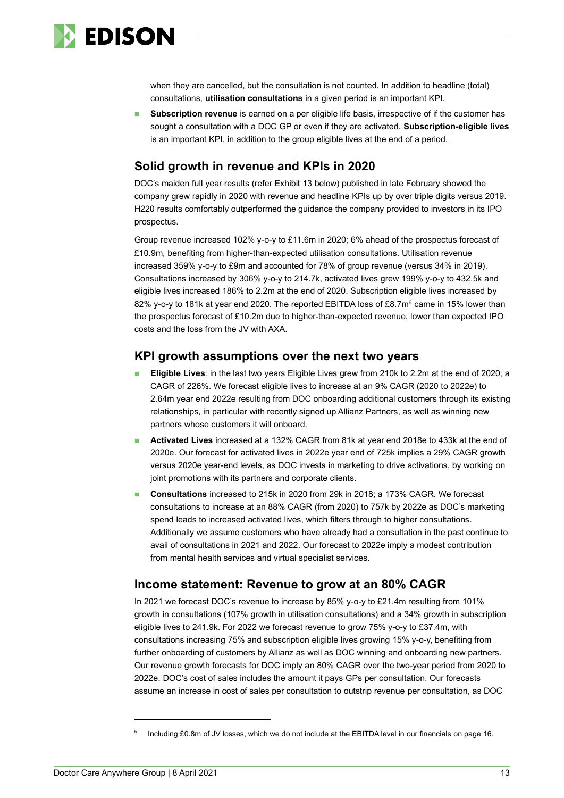

when they are cancelled, but the consultation is not counted. In addition to headline (total) consultations, **utilisation consultations** in a given period is an important KPI.

**Subscription revenue** is earned on a per eligible life basis, irrespective of if the customer has sought a consultation with a DOC GP or even if they are activated. **Subscription-eligible lives** is an important KPI, in addition to the group eligible lives at the end of a period.

## **Solid growth in revenue and KPIs in 2020**

DOC's maiden full year results (refer Exhibit 13 below) published in late February showed the company grew rapidly in 2020 with revenue and headline KPIs up by over triple digits versus 2019. H220 results comfortably outperformed the guidance the company provided to investors in its IPO prospectus.

Group revenue increased 102% y-o-y to £11.6m in 2020; 6% ahead of the prospectus forecast of £10.9m, benefiting from higher-than-expected utilisation consultations. Utilisation revenue increased 359% y-o-y to £9m and accounted for 78% of group revenue (versus 34% in 2019). Consultations increased by 306% y-o-y to 214.7k, activated lives grew 199% y-o-y to 432.5k and eligible lives increased 186% to 2.2m at the end of 2020. Subscription eligible lives increased by 82% y-o-y to 181k at year end 2020. The reported EBITDA loss of £8.7m<sup>6</sup> came in 15% lower than the prospectus forecast of £10.2m due to higher-than-expected revenue, lower than expected IPO costs and the loss from the JV with AXA.

#### **KPI growth assumptions over the next two years**

- ◼ **Eligible Lives**: in the last two years Eligible Lives grew from 210k to 2.2m at the end of 2020; a CAGR of 226%. We forecast eligible lives to increase at an 9% CAGR (2020 to 2022e) to 2.64m year end 2022e resulting from DOC onboarding additional customers through its existing relationships, in particular with recently signed up Allianz Partners, as well as winning new partners whose customers it will onboard.
- ◼ **Activated Lives** increased at a 132% CAGR from 81k at year end 2018e to 433k at the end of 2020e. Our forecast for activated lives in 2022e year end of 725k implies a 29% CAGR growth versus 2020e year-end levels, as DOC invests in marketing to drive activations, by working on joint promotions with its partners and corporate clients.
- ◼ **Consultations** increased to 215k in 2020 from 29k in 2018; a 173% CAGR. We forecast consultations to increase at an 88% CAGR (from 2020) to 757k by 2022e as DOC's marketing spend leads to increased activated lives, which filters through to higher consultations. Additionally we assume customers who have already had a consultation in the past continue to avail of consultations in 2021 and 2022. Our forecast to 2022e imply a modest contribution from mental health services and virtual specialist services.

#### **Income statement: Revenue to grow at an 80% CAGR**

In 2021 we forecast DOC's revenue to increase by 85% y-o-y to £21.4m resulting from 101% growth in consultations (107% growth in utilisation consultations) and a 34% growth in subscription eligible lives to 241.9k. For 2022 we forecast revenue to grow 75% y-o-y to £37.4m, with consultations increasing 75% and subscription eligible lives growing 15% y-o-y, benefiting from further onboarding of customers by Allianz as well as DOC winning and onboarding new partners. Our revenue growth forecasts for DOC imply an 80% CAGR over the two-year period from 2020 to 2022e. DOC's cost of sales includes the amount it pays GPs per consultation. Our forecasts assume an increase in cost of sales per consultation to outstrip revenue per consultation, as DOC

<sup>6</sup> Including £0.8m of JV losses, which we do not include at the EBITDA level in our financials on page 16.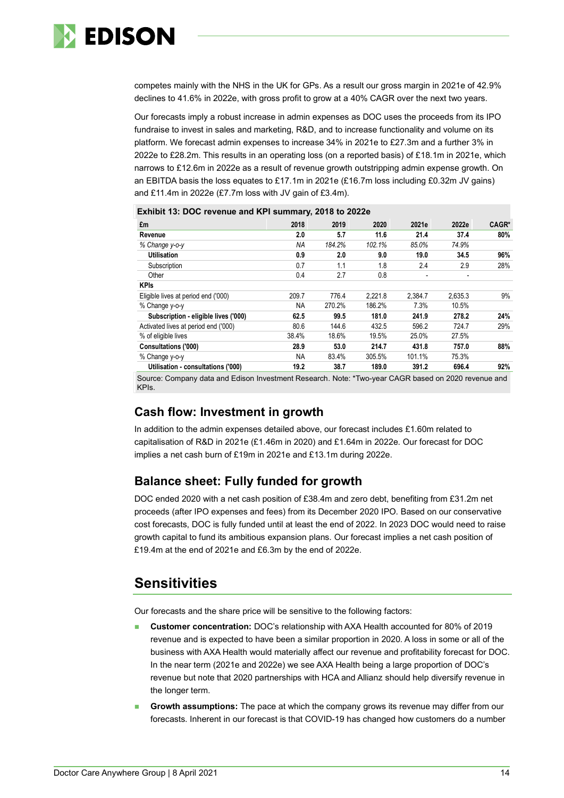

competes mainly with the NHS in the UK for GPs. As a result our gross margin in 2021e of 42.9% declines to 41.6% in 2022e, with gross profit to grow at a 40% CAGR over the next two years.

Our forecasts imply a robust increase in admin expenses as DOC uses the proceeds from its IPO fundraise to invest in sales and marketing, R&D, and to increase functionality and volume on its platform. We forecast admin expenses to increase 34% in 2021e to £27.3m and a further 3% in 2022e to £28.2m. This results in an operating loss (on a reported basis) of £18.1m in 2021e, which narrows to £12.6m in 2022e as a result of revenue growth outstripping admin expense growth. On an EBITDA basis the loss equates to £17.1m in 2021e (£16.7m loss including £0.32m JV gains) and £11.4m in 2022e (£7.7m loss with JV gain of £3.4m).

| £m                                   | 2018      | 2019   | 2020    | 2021e                    | 2022e                    | CAGR* |
|--------------------------------------|-----------|--------|---------|--------------------------|--------------------------|-------|
| Revenue                              | 2.0       | 5.7    | 11.6    | 21.4                     | 37.4                     | 80%   |
| % Change y-o-y                       | <b>NA</b> | 184.2% | 102.1%  | 85.0%                    | 74.9%                    |       |
| <b>Utilisation</b>                   | 0.9       | 2.0    | 9.0     | 19.0                     | 34.5                     | 96%   |
| Subscription                         | 0.7       | 1.1    | 1.8     | 2.4                      | 2.9                      | 28%   |
| Other                                | 0.4       | 2.7    | 0.8     | $\overline{\phantom{a}}$ | $\overline{\phantom{a}}$ |       |
| <b>KPIs</b>                          |           |        |         |                          |                          |       |
| Eligible lives at period end ('000)  | 209.7     | 776.4  | 2.221.8 | 2.384.7                  | 2.635.3                  | 9%    |
| % Change y-o-y                       | <b>NA</b> | 270.2% | 186.2%  | 7.3%                     | 10.5%                    |       |
| Subscription - eligible lives ('000) | 62.5      | 99.5   | 181.0   | 241.9                    | 278.2                    | 24%   |
| Activated lives at period end ('000) | 80.6      | 144.6  | 432.5   | 596.2                    | 724.7                    | 29%   |
| % of eligible lives                  | 38.4%     | 18.6%  | 19.5%   | 25.0%                    | 27.5%                    |       |
| Consultations ('000)                 | 28.9      | 53.0   | 214.7   | 431.8                    | 757.0                    | 88%   |
| % Change y-o-y                       | <b>NA</b> | 83.4%  | 305.5%  | 101.1%                   | 75.3%                    |       |
| Utilisation - consultations ('000)   | 19.2      | 38.7   | 189.0   | 391.2                    | 696.4                    | 92%   |

**Exhibit 13: DOC revenue and KPI summary, 2018 to 2022e**

Source: Company data and Edison Investment Research. Note: \*Two-year CAGR based on 2020 revenue and KPIs.

#### **Cash flow: Investment in growth**

In addition to the admin expenses detailed above, our forecast includes £1.60m related to capitalisation of R&D in 2021e (£1.46m in 2020) and £1.64m in 2022e. Our forecast for DOC implies a net cash burn of £19m in 2021e and £13.1m during 2022e.

#### **Balance sheet: Fully funded for growth**

DOC ended 2020 with a net cash position of £38.4m and zero debt, benefiting from £31.2m net proceeds (after IPO expenses and fees) from its December 2020 IPO. Based on our conservative cost forecasts, DOC is fully funded until at least the end of 2022. In 2023 DOC would need to raise growth capital to fund its ambitious expansion plans. Our forecast implies a net cash position of £19.4m at the end of 2021e and £6.3m by the end of 2022e.

# **Sensitivities**

Our forecasts and the share price will be sensitive to the following factors:

- ◼ **Customer concentration:** DOC's relationship with AXA Health accounted for 80% of 2019 revenue and is expected to have been a similar proportion in 2020. A loss in some or all of the business with AXA Health would materially affect our revenue and profitability forecast for DOC. In the near term (2021e and 2022e) we see AXA Health being a large proportion of DOC's revenue but note that 2020 partnerships with HCA and Allianz should help diversify revenue in the longer term.
- **Growth assumptions:** The pace at which the company grows its revenue may differ from our forecasts. Inherent in our forecast is that COVID-19 has changed how customers do a number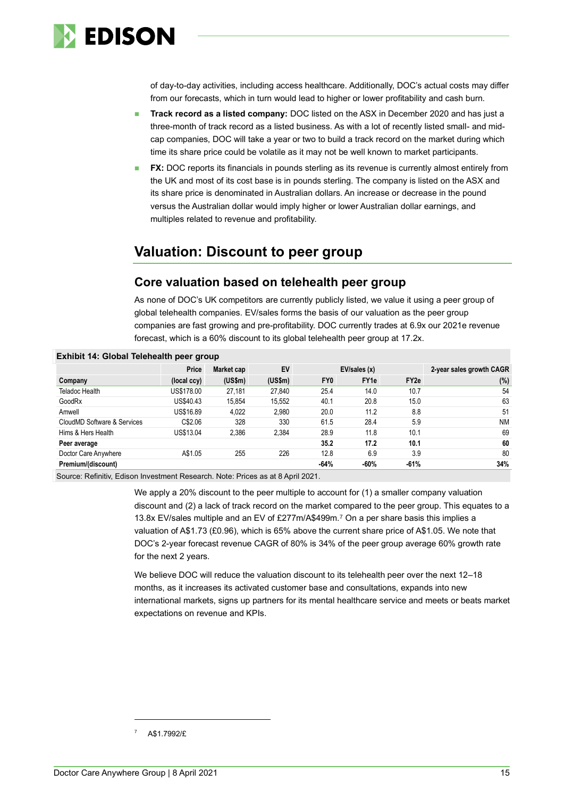

of day-to-day activities, including access healthcare. Additionally, DOC's actual costs may differ from our forecasts, which in turn would lead to higher or lower profitability and cash burn.

- ◼ **Track record as a listed company:** DOC listed on the ASX in December 2020 and has just a three-month of track record as a listed business. As with a lot of recently listed small- and midcap companies, DOC will take a year or two to build a track record on the market during which time its share price could be volatile as it may not be well known to market participants.
- **FX:** DOC reports its financials in pounds sterling as its revenue is currently almost entirely from the UK and most of its cost base is in pounds sterling. The company is listed on the ASX and its share price is denominated in Australian dollars. An increase or decrease in the pound versus the Australian dollar would imply higher or lower Australian dollar earnings, and multiples related to revenue and profitability.

# **Valuation: Discount to peer group**

#### **Core valuation based on telehealth peer group**

As none of DOC's UK competitors are currently publicly listed, we value it using a peer group of global telehealth companies. EV/sales forms the basis of our valuation as the peer group companies are fast growing and pre-profitability. DOC currently trades at 6.9x our 2021e revenue forecast, which is a 60% discount to its global telehealth peer group at 17.2x.

| Price       | Market cap | EV      |                 | EV/sales(x)      |                  | 2-year sales growth CAGR |
|-------------|------------|---------|-----------------|------------------|------------------|--------------------------|
| (local ccy) | (US\$m)    | (US\$m) | FY <sub>0</sub> | FY <sub>1e</sub> | FY <sub>2e</sub> | (%)                      |
| US\$178.00  | 27,181     | 27,840  | 25.4            | 14.0             | 10.7             | 54                       |
| US\$40.43   | 15.854     | 15.552  | 40.1            | 20.8             | 15.0             | 63                       |
| US\$16.89   | 4,022      | 2.980   | 20.0            | 11.2             | 8.8              | 51                       |
| C\$2.06     | 328        | 330     | 61.5            | 28.4             | 5.9              | <b>NM</b>                |
| US\$13.04   | 2,386      | 2,384   | 28.9            | 11.8             | 10.1             | 69                       |
|             |            |         | 35.2            | 17.2             | 10.1             | 60                       |
| A\$1.05     | 255        | 226     | 12.8            | 6.9              | 3.9              | 80                       |
|             |            |         | $-64%$          | $-60%$           | $-61%$           | 34%                      |
|             |            |         |                 |                  |                  |                          |

#### **Exhibit 14: Global Telehealth peer group**

Source: Refinitiv, Edison Investment Research. Note: Prices as at 8 April 2021.

We apply a 20% discount to the peer multiple to account for (1) a smaller company valuation discount and (2) a lack of track record on the market compared to the peer group. This equates to a 13.8x EV/sales multiple and an EV of £277m/A\$499m. <sup>7</sup> On a per share basis this implies a valuation of A\$1.73 (£0.96), which is 65% above the current share price of A\$1.05. We note that DOC's 2-year forecast revenue CAGR of 80% is 34% of the peer group average 60% growth rate for the next 2 years.

We believe DOC will reduce the valuation discount to its telehealth peer over the next 12–18 months, as it increases its activated customer base and consultations, expands into new international markets, signs up partners for its mental healthcare service and meets or beats market expectations on revenue and KPIs.

<sup>7</sup> A\$1.7992/£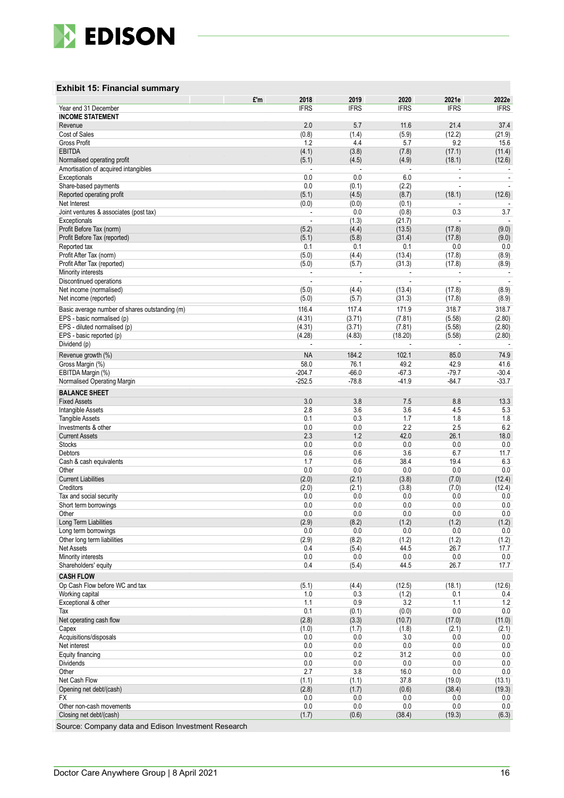

#### **Exhibit 15: Financial summary**

|                                                          | £'m | 2018             | 2019             | 2020              | 2021e            | 2022e                    |
|----------------------------------------------------------|-----|------------------|------------------|-------------------|------------------|--------------------------|
| Year end 31 December                                     |     | <b>IFRS</b>      | <b>IFRS</b>      | <b>IFRS</b>       | <b>IFRS</b>      | <b>IFRS</b>              |
| <b>INCOME STATEMENT</b><br>Revenue                       |     | 2.0              | 5.7              | 11.6              | 21.4             | 37.4                     |
| Cost of Sales                                            |     | (0.8)            | (1.4)            | (5.9)             | (12.2)           | (21.9)                   |
| Gross Profit                                             |     | 1.2              | 4.4              | 5.7               | 9.2              | 15.6                     |
| <b>EBITDA</b>                                            |     | (4.1)            | (3.8)            | (7.8)             | (17.1)           | (11.4)                   |
| Normalised operating profit                              |     | (5.1)            | (4.5)            | (4.9)             | (18.1)           | (12.6)                   |
| Amortisation of acquired intangibles                     |     | ÷.               |                  |                   |                  |                          |
| Exceptionals                                             |     | 0.0<br>0.0       | 0.0              | 6.0               |                  | $\sim$                   |
| Share-based payments<br>Reported operating profit        |     | (5.1)            | (0.1)<br>(4.5)   | (2.2)<br>(8.7)    | (18.1)           | (12.6)                   |
| Net Interest                                             |     | (0.0)            | (0.0)            | (0.1)             |                  |                          |
| Joint ventures & associates (post tax)                   |     |                  | 0.0              | (0.8)             | 0.3              | 3.7                      |
| Exceptionals                                             |     | $\overline{a}$   | (1.3)            | (21.7)            |                  |                          |
| Profit Before Tax (norm)                                 |     | (5.2)            | (4.4)            | (13.5)            | (17.8)           | (9.0)                    |
| Profit Before Tax (reported)                             |     | (5.1)            | (5.8)            | (31.4)            | (17.8)           | (9.0)                    |
| Reported tax<br>Profit After Tax (norm)                  |     | 0.1<br>(5.0)     | 0.1<br>(4.4)     | 0.1<br>(13.4)     | 0.0<br>(17.8)    | 0.0<br>(8.9)             |
| Profit After Tax (reported)                              |     | (5.0)            | (5.7)            | (31.3)            | (17.8)           | (8.9)                    |
| Minority interests                                       |     |                  |                  |                   |                  | $\overline{\phantom{a}}$ |
| Discontinued operations                                  |     |                  |                  |                   |                  |                          |
| Net income (normalised)                                  |     | (5.0)            | (4.4)            | (13.4)            | (17.8)           | (8.9)                    |
| Net income (reported)                                    |     | (5.0)            | (5.7)            | (31.3)            | (17.8)           | (8.9)                    |
| Basic average number of shares outstanding (m)           |     | 116.4            | 117.4            | 171.9             | 318.7            | 318.7                    |
| EPS - basic normalised (p)                               |     | (4.31)           | (3.71)           | (7.81)            | (5.58)           | (2.80)                   |
| EPS - diluted normalised (p)<br>EPS - basic reported (p) |     | (4.31)<br>(4.28) | (3.71)<br>(4.83) | (7.81)<br>(18.20) | (5.58)<br>(5.58) | (2.80)<br>(2.80)         |
| Dividend (p)                                             |     | ÷.               | ÷,               |                   | $\sim$           |                          |
| Revenue growth (%)                                       |     | <b>NA</b>        | 184.2            | 102.1             | 85.0             | 74.9                     |
| Gross Margin (%)                                         |     | 58.0             | 76.1             | 49.2              | 42.9             | 41.6                     |
| EBITDA Margin (%)                                        |     | $-204.7$         | $-66.0$          | $-67.3$           | $-79.7$          | $-30.4$                  |
| Normalised Operating Margin                              |     | $-252.5$         | $-78.8$          | $-41.9$           | $-84.7$          | $-33.7$                  |
| <b>BALANCE SHEET</b>                                     |     |                  |                  |                   |                  |                          |
| <b>Fixed Assets</b>                                      |     | 3.0              | 3.8              | 7.5               | 8.8              | 13.3                     |
| Intangible Assets                                        |     | 2.8              | 3.6              | 3.6               | 4.5              | 5.3                      |
| <b>Tangible Assets</b>                                   |     | 0.1              | 0.3              | 1.7               | 1.8              | 1.8                      |
| Investments & other<br><b>Current Assets</b>             |     | 0.0<br>2.3       | 0.0<br>1.2       | 2.2<br>42.0       | 2.5<br>26.1      | 6.2<br>18.0              |
| <b>Stocks</b>                                            |     | 0.0              | 0.0              | 0.0               | 0.0              | 0.0                      |
| Debtors                                                  |     | 0.6              | 0.6              | 3.6               | 6.7              | 11.7                     |
| Cash & cash equivalents                                  |     | 1.7              | 0.6              | 38.4              | 19.4             | 6.3                      |
| Other                                                    |     | 0.0              | 0.0              | 0.0               | 0.0              | 0.0                      |
| <b>Current Liabilities</b>                               |     | (2.0)            | (2.1)            | (3.8)             | (7.0)            | (12.4)                   |
| Creditors<br>Tax and social security                     |     | (2.0)<br>0.0     | (2.1)<br>0.0     | (3.8)<br>0.0      | (7.0)<br>0.0     | (12.4)<br>0.0            |
| Short term borrowings                                    |     | 0.0              | 0.0              | 0.0               | 0.0              | 0.0                      |
| Other                                                    |     | 0.0              | 0.0              | 0.0               | 0.0              | 0.0                      |
| Long Term Liabilities                                    |     | (2.9)            | (8.2)            | (1.2)             | (1.2)            | (1.2)                    |
| Long term borrowings                                     |     | 0.0              | 0.0              | 0.0               | 0.0              | 0.0                      |
| Other long term liabilities                              |     | (2.9)            | (8.2)            | (1.2)             | (1.2)            | (1.2)                    |
| Net Assets<br>Minority interests                         |     | 0.4<br>0.0       | (5.4)<br>0.0     | 44.5<br>0.0       | 26.7<br>0.0      | 17.7<br>$0.0\,$          |
| Shareholders' equity                                     |     | 0.4              | (5.4)            | 44.5              | 26.7             | 17.7                     |
| <b>CASH FLOW</b>                                         |     |                  |                  |                   |                  |                          |
| Op Cash Flow before WC and tax                           |     | (5.1)            | (4.4)            | (12.5)            | (18.1)           | (12.6)                   |
| Working capital                                          |     | 1.0              | 0.3              | (1.2)             | 0.1              | 0.4                      |
| Exceptional & other                                      |     | 1.1              | 0.9              | 3.2               | 1.1              | 1.2                      |
| Tax                                                      |     | 0.1              | (0.1)            | (0.0)             | 0.0              | 0.0                      |
| Net operating cash flow                                  |     | (2.8)            | (3.3)            | (10.7)<br>(1.8)   | (17.0)<br>(2.1)  | (11.0)<br>(2.1)          |
| Capex<br>Acquisitions/disposals                          |     | (1.0)<br>0.0     | (1.7)<br>0.0     | 3.0               | 0.0              | 0.0                      |
| Net interest                                             |     | 0.0              | 0.0              | 0.0               | 0.0              | 0.0                      |
| Equity financing                                         |     | 0.0              | 0.2              | 31.2              | 0.0              | $0.0\,$                  |
| <b>Dividends</b>                                         |     | 0.0              | 0.0              | 0.0               | 0.0              | 0.0                      |
| Other                                                    |     | 2.7              | 3.8              | 16.0              | 0.0              | $0.0\,$                  |
| Net Cash Flow                                            |     | (1.1)            | (1.1)            | 37.8              | (19.0)           | (13.1)                   |
| Opening net debt/(cash)<br><b>FX</b>                     |     | (2.8)<br>0.0     | (1.7)<br>0.0     | (0.6)<br>0.0      | (38.4)<br>0.0    | (19.3)<br>0.0            |
| Other non-cash movements                                 |     | 0.0              | 0.0              | 0.0               | 0.0              | 0.0                      |
| Closing net debt/(cash)                                  |     | (1.7)            | (0.6)            | (38.4)            | (19.3)           | (6.3)                    |
|                                                          |     |                  |                  |                   |                  |                          |

Source: Company data and Edison Investment Research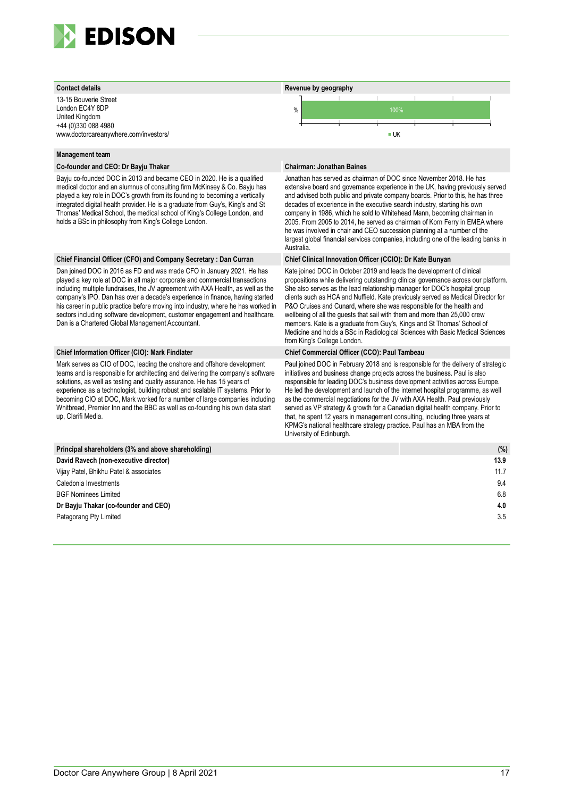

13-15 Bouverie Street London EC4Y 8DP United Kingdom +44 (0)330 088 4980 www.doctorcareanywhere.com/investors/

#### **Management team**

#### **Co-founder and CEO: Dr Bayju Thakar Chairman: Jonathan Baines**

Bayju co-founded DOC in 2013 and became CEO in 2020. He is a qualified medical doctor and an alumnus of consulting firm McKinsey & Co. Bayju has played a key role in DOC's growth from its founding to becoming a vertically integrated digital health provider. He is a graduate from Guy's, King's and St Thomas' Medical School, the medical school of King's College London, and holds a BSc in philosophy from King's College London.

#### **Chief Financial Officer (CFO) and Company Secretary : Dan Curran Chief Clinical Innovation Officer (CCIO): Dr Kate Bunyan**

Dan joined DOC in 2016 as FD and was made CFO in January 2021. He has played a key role at DOC in all major corporate and commercial transactions including multiple fundraises, the JV agreement with AXA Health, as well as the company's IPO. Dan has over a decade's experience in finance, having started his career in public practice before moving into industry, where he has worked in sectors including software development, customer engagement and healthcare. Dan is a Chartered Global Management Accountant.

Mark serves as CIO of DOC, leading the onshore and offshore development teams and is responsible for architecting and delivering the company's software solutions, as well as testing and quality assurance. He has 15 years of experience as a technologist, building robust and scalable IT systems. Prior to becoming CIO at DOC, Mark worked for a number of large companies including Whitbread, Premier Inn and the BBC as well as co-founding his own data start up, Clarifi Media.



Jonathan has served as chairman of DOC since November 2018. He has extensive board and governance experience in the UK, having previously served and advised both public and private company boards. Prior to this, he has three decades of experience in the executive search industry, starting his own company in 1986, which he sold to Whitehead Mann, becoming chairman in 2005. From 2005 to 2014, he served as chairman of Korn Ferry in EMEA where he was involved in chair and CEO succession planning at a number of the largest global financial services companies, including one of the leading banks in Australia.

Kate joined DOC in October 2019 and leads the development of clinical propositions while delivering outstanding clinical governance across our platform. She also serves as the lead relationship manager for DOC's hospital group clients such as HCA and Nuffield. Kate previously served as Medical Director for P&O Cruises and Cunard, where she was responsible for the health and wellbeing of all the guests that sail with them and more than 25,000 crew members. Kate is a graduate from Guy's, Kings and St Thomas' School of Medicine and holds a BSc in Radiological Sciences with Basic Medical Sciences from King's College London.

#### **Chief Information Officer (CIO): Mark Findlater Chief Commercial Officer (CCO): Paul Tambeau**

Paul joined DOC in February 2018 and is responsible for the delivery of strategic initiatives and business change projects across the business. Paul is also responsible for leading DOC's business development activities across Europe. He led the development and launch of the internet hospital programme, as well as the commercial negotiations for the JV with AXA Health. Paul previously served as VP strategy & growth for a Canadian digital health company. Prior to that, he spent 12 years in management consulting, including three years at KPMG's national healthcare strategy practice. Paul has an MBA from the University of Edinburgh.

| Principal shareholders (3% and above shareholding) | (% ) |
|----------------------------------------------------|------|
| David Ravech (non-executive director)              | 13.9 |
| Vijay Patel, Bhikhu Patel & associates             | 11.7 |
| Caledonia Investments                              | 9.4  |
| <b>BGF Nominees Limited</b>                        | 6.8  |
| Dr Bayju Thakar (co-founder and CEO)               | 4.0  |
| Patagorang Pty Limited                             | 3.5  |
|                                                    |      |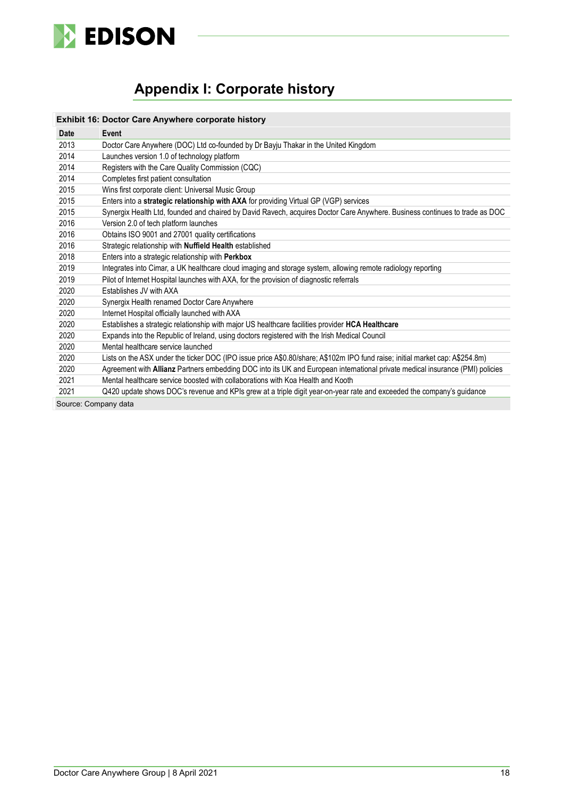

# **Appendix I: Corporate history**

|                      | Exhibit 16: Doctor Care Anywhere corporate history                                                                            |
|----------------------|-------------------------------------------------------------------------------------------------------------------------------|
| Date                 | Event                                                                                                                         |
| 2013                 | Doctor Care Anywhere (DOC) Ltd co-founded by Dr Bayju Thakar in the United Kingdom                                            |
| 2014                 | Launches version 1.0 of technology platform                                                                                   |
| 2014                 | Registers with the Care Quality Commission (CQC)                                                                              |
| 2014                 | Completes first patient consultation                                                                                          |
| 2015                 | Wins first corporate client: Universal Music Group                                                                            |
| 2015                 | Enters into a strategic relationship with AXA for providing Virtual GP (VGP) services                                         |
| 2015                 | Synergix Health Ltd, founded and chaired by David Ravech, acquires Doctor Care Anywhere. Business continues to trade as DOC   |
| 2016                 | Version 2.0 of tech platform launches                                                                                         |
| 2016                 | Obtains ISO 9001 and 27001 quality certifications                                                                             |
| 2016                 | Strategic relationship with Nuffield Health established                                                                       |
| 2018                 | Enters into a strategic relationship with Perkbox                                                                             |
| 2019                 | Integrates into Cimar, a UK healthcare cloud imaging and storage system, allowing remote radiology reporting                  |
| 2019                 | Pilot of Internet Hospital launches with AXA, for the provision of diagnostic referrals                                       |
| 2020                 | <b>Fstablishes JV with AXA</b>                                                                                                |
| 2020                 | Synergix Health renamed Doctor Care Anywhere                                                                                  |
| 2020                 | Internet Hospital officially launched with AXA                                                                                |
| 2020                 | Establishes a strategic relationship with major US healthcare facilities provider HCA Healthcare                              |
| 2020                 | Expands into the Republic of Ireland, using doctors registered with the Irish Medical Council                                 |
| 2020                 | Mental healthcare service launched                                                                                            |
| 2020                 | Lists on the ASX under the ticker DOC (IPO issue price A\$0.80/share; A\$102m IPO fund raise; initial market cap: A\$254.8m)  |
| 2020                 | Agreement with Allianz Partners embedding DOC into its UK and European international private medical insurance (PMI) policies |
| 2021                 | Mental healthcare service boosted with collaborations with Koa Health and Kooth                                               |
| 2021                 | Q420 update shows DOC's revenue and KPIs grew at a triple digit year-on-year rate and exceeded the company's guidance         |
| Source: Company data |                                                                                                                               |

Source: Company data